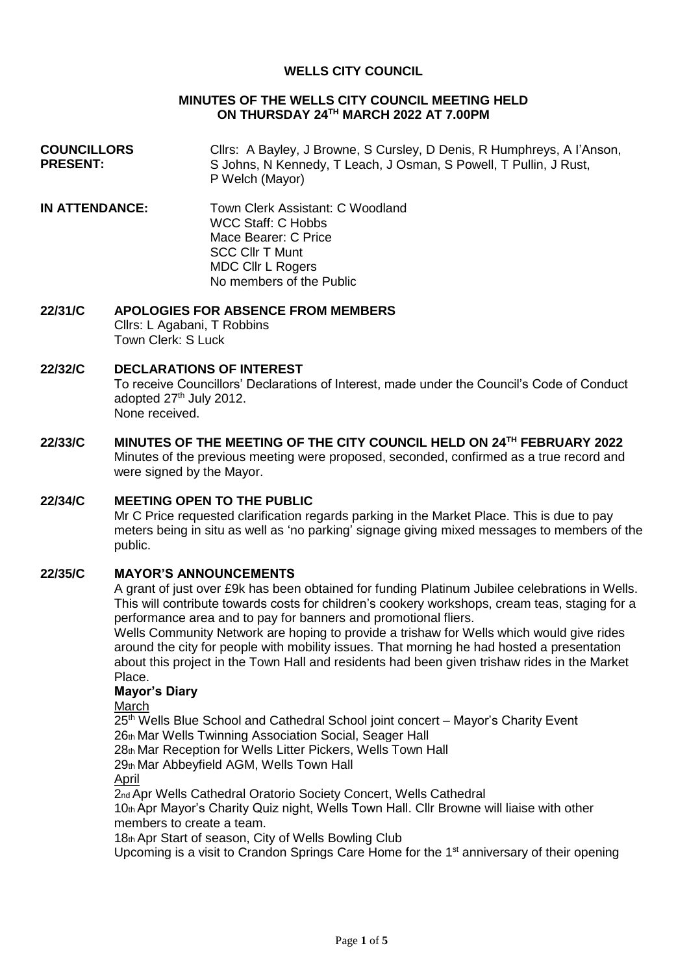### **WELLS CITY COUNCIL**

### **MINUTES OF THE WELLS CITY COUNCIL MEETING HELD ON THURSDAY 24TH MARCH 2022 AT 7.00PM**

- **COUNCILLORS PRESENT:** Cllrs: A Bayley, J Browne, S Cursley, D Denis, R Humphreys, A I'Anson, S Johns, N Kennedy, T Leach, J Osman, S Powell, T Pullin, J Rust, P Welch (Mayor)
- **IN ATTENDANCE:** Town Clerk Assistant: C Woodland WCC Staff: C Hobbs Mace Bearer: C Price SCC Cllr T Munt MDC Cllr L Rogers No members of the Public

#### **22/31/C APOLOGIES FOR ABSENCE FROM MEMBERS** Cllrs: L Agabani, T Robbins

Town Clerk: S Luck

# **22/32/C DECLARATIONS OF INTEREST**

To receive Councillors' Declarations of Interest, made under the Council's Code of Conduct adopted 27<sup>th</sup> July 2012. None received.

**22/33/C MINUTES OF THE MEETING OF THE CITY COUNCIL HELD ON 24TH FEBRUARY 2022** Minutes of the previous meeting were proposed, seconded, confirmed as a true record and were signed by the Mayor.

# **22/34/C MEETING OPEN TO THE PUBLIC**

Mr C Price requested clarification regards parking in the Market Place. This is due to pay meters being in situ as well as 'no parking' signage giving mixed messages to members of the public.

#### **22/35/C MAYOR'S ANNOUNCEMENTS**

A grant of just over £9k has been obtained for funding Platinum Jubilee celebrations in Wells. This will contribute towards costs for children's cookery workshops, cream teas, staging for a performance area and to pay for banners and promotional fliers.

Wells Community Network are hoping to provide a trishaw for Wells which would give rides around the city for people with mobility issues. That morning he had hosted a presentation about this project in the Town Hall and residents had been given trishaw rides in the Market Place.

### **Mayor's Diary**

**March** 

25<sup>th</sup> Wells Blue School and Cathedral School joint concert - Mayor's Charity Event 26th Mar Wells Twinning Association Social, Seager Hall

28th Mar Reception for Wells Litter Pickers, Wells Town Hall

29th Mar Abbeyfield AGM, Wells Town Hall

April

2nd Apr Wells Cathedral Oratorio Society Concert, Wells Cathedral

10th Apr Mayor's Charity Quiz night, Wells Town Hall. Cllr Browne will liaise with other members to create a team.

18th Apr Start of season, City of Wells Bowling Club

Upcoming is a visit to Crandon Springs Care Home for the 1<sup>st</sup> anniversary of their opening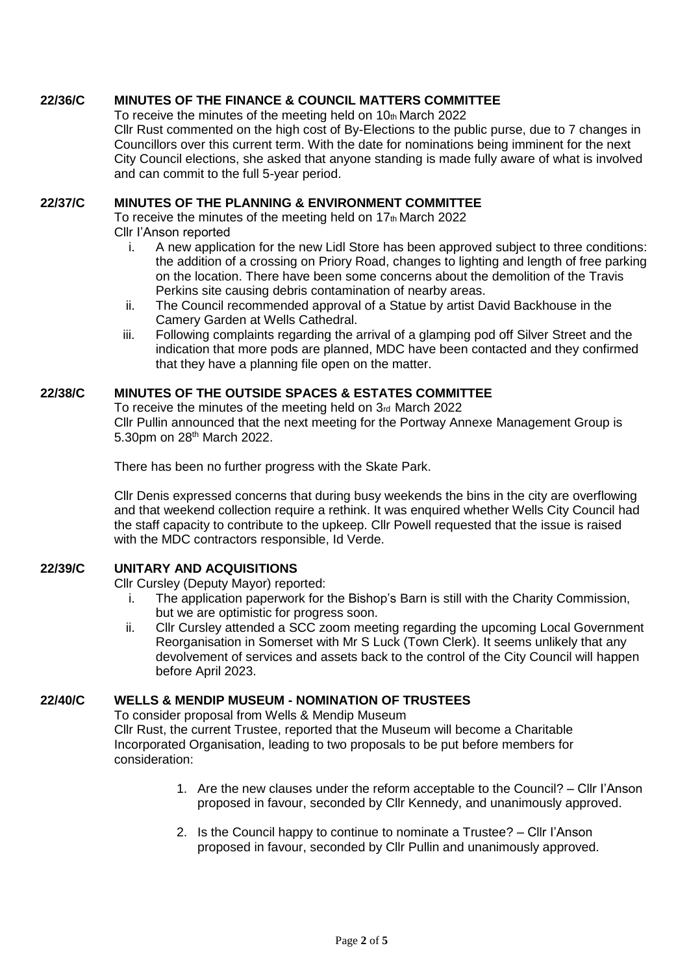# **22/36/C MINUTES OF THE FINANCE & COUNCIL MATTERS COMMITTEE**

To receive the minutes of the meeting held on  $10<sub>th</sub>$  March 2022

Cllr Rust commented on the high cost of By-Elections to the public purse, due to 7 changes in Councillors over this current term. With the date for nominations being imminent for the next City Council elections, she asked that anyone standing is made fully aware of what is involved and can commit to the full 5-year period.

### **22/37/C MINUTES OF THE PLANNING & ENVIRONMENT COMMITTEE**

To receive the minutes of the meeting held on 17th March 2022 Cllr I'Anson reported

- i. A new application for the new Lidl Store has been approved subject to three conditions: the addition of a crossing on Priory Road, changes to lighting and length of free parking on the location. There have been some concerns about the demolition of the Travis Perkins site causing debris contamination of nearby areas.
- ii. The Council recommended approval of a Statue by artist David Backhouse in the Camery Garden at Wells Cathedral.
- iii. Following complaints regarding the arrival of a glamping pod off Silver Street and the indication that more pods are planned, MDC have been contacted and they confirmed that they have a planning file open on the matter.

## **22/38/C MINUTES OF THE OUTSIDE SPACES & ESTATES COMMITTEE**

To receive the minutes of the meeting held on 3rd March 2022 Cllr Pullin announced that the next meeting for the Portway Annexe Management Group is 5.30pm on 28<sup>th</sup> March 2022.

There has been no further progress with the Skate Park.

Cllr Denis expressed concerns that during busy weekends the bins in the city are overflowing and that weekend collection require a rethink. It was enquired whether Wells City Council had the staff capacity to contribute to the upkeep. Cllr Powell requested that the issue is raised with the MDC contractors responsible, Id Verde.

## **22/39/C UNITARY AND ACQUISITIONS**

Cllr Cursley (Deputy Mayor) reported:

- i. The application paperwork for the Bishop's Barn is still with the Charity Commission, but we are optimistic for progress soon.
- ii. Cllr Cursley attended a SCC zoom meeting regarding the upcoming Local Government Reorganisation in Somerset with Mr S Luck (Town Clerk). It seems unlikely that any devolvement of services and assets back to the control of the City Council will happen before April 2023.

## **22/40/C WELLS & MENDIP MUSEUM - NOMINATION OF TRUSTEES**

To consider proposal from Wells & Mendip Museum Cllr Rust, the current Trustee, reported that the Museum will become a Charitable Incorporated Organisation, leading to two proposals to be put before members for consideration:

- 1. Are the new clauses under the reform acceptable to the Council? Cllr I'Anson proposed in favour, seconded by Cllr Kennedy, and unanimously approved.
- 2. Is the Council happy to continue to nominate a Trustee? Cllr I'Anson proposed in favour, seconded by Cllr Pullin and unanimously approved.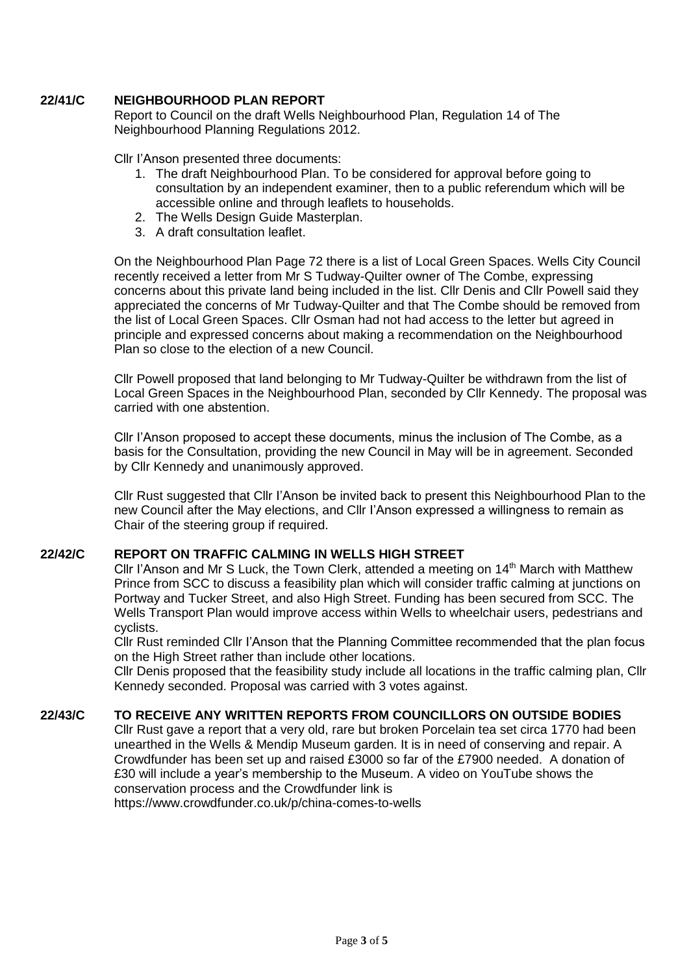# **22/41/C NEIGHBOURHOOD PLAN REPORT**

Report to Council on the draft Wells Neighbourhood Plan, Regulation 14 of The Neighbourhood Planning Regulations 2012.

Cllr I'Anson presented three documents:

- 1. The draft Neighbourhood Plan. To be considered for approval before going to consultation by an independent examiner, then to a public referendum which will be accessible online and through leaflets to households.
- 2. The Wells Design Guide Masterplan.
- 3. A draft consultation leaflet.

On the Neighbourhood Plan Page 72 there is a list of Local Green Spaces. Wells City Council recently received a letter from Mr S Tudway-Quilter owner of The Combe, expressing concerns about this private land being included in the list. Cllr Denis and Cllr Powell said they appreciated the concerns of Mr Tudway-Quilter and that The Combe should be removed from the list of Local Green Spaces. Cllr Osman had not had access to the letter but agreed in principle and expressed concerns about making a recommendation on the Neighbourhood Plan so close to the election of a new Council.

Cllr Powell proposed that land belonging to Mr Tudway-Quilter be withdrawn from the list of Local Green Spaces in the Neighbourhood Plan, seconded by Cllr Kennedy. The proposal was carried with one abstention.

Cllr I'Anson proposed to accept these documents, minus the inclusion of The Combe, as a basis for the Consultation, providing the new Council in May will be in agreement. Seconded by Cllr Kennedy and unanimously approved.

Cllr Rust suggested that Cllr I'Anson be invited back to present this Neighbourhood Plan to the new Council after the May elections, and Cllr I'Anson expressed a willingness to remain as Chair of the steering group if required.

### **22/42/C REPORT ON TRAFFIC CALMING IN WELLS HIGH STREET**

Cllr I'Anson and Mr S Luck, the Town Clerk, attended a meeting on  $14<sup>th</sup>$  March with Matthew Prince from SCC to discuss a feasibility plan which will consider traffic calming at junctions on Portway and Tucker Street, and also High Street. Funding has been secured from SCC. The Wells Transport Plan would improve access within Wells to wheelchair users, pedestrians and cyclists.

Cllr Rust reminded Cllr I'Anson that the Planning Committee recommended that the plan focus on the High Street rather than include other locations.

Cllr Denis proposed that the feasibility study include all locations in the traffic calming plan, Cllr Kennedy seconded. Proposal was carried with 3 votes against.

### **22/43/C TO RECEIVE ANY WRITTEN REPORTS FROM COUNCILLORS ON OUTSIDE BODIES**

Cllr Rust gave a report that a very old, rare but broken Porcelain tea set circa 1770 had been unearthed in the Wells & Mendip Museum garden. It is in need of conserving and repair. A Crowdfunder has been set up and raised £3000 so far of the £7900 needed. A donation of £30 will include a year's membership to the Museum. A video on YouTube shows the conservation process and the Crowdfunder link is

https://www.crowdfunder.co.uk/p/china-comes-to-wells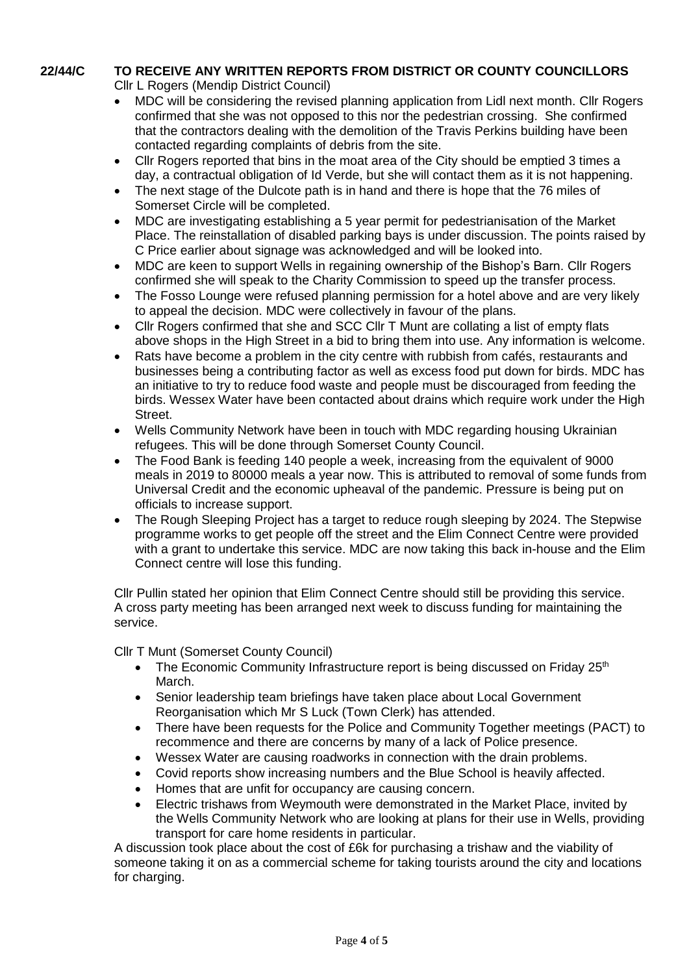# **22/44/C TO RECEIVE ANY WRITTEN REPORTS FROM DISTRICT OR COUNTY COUNCILLORS**

Cllr L Rogers (Mendip District Council)

- MDC will be considering the revised planning application from Lidl next month. Cllr Rogers confirmed that she was not opposed to this nor the pedestrian crossing. She confirmed that the contractors dealing with the demolition of the Travis Perkins building have been contacted regarding complaints of debris from the site.
- Cllr Rogers reported that bins in the moat area of the City should be emptied 3 times a day, a contractual obligation of Id Verde, but she will contact them as it is not happening.
- The next stage of the Dulcote path is in hand and there is hope that the 76 miles of Somerset Circle will be completed.
- MDC are investigating establishing a 5 year permit for pedestrianisation of the Market Place. The reinstallation of disabled parking bays is under discussion. The points raised by C Price earlier about signage was acknowledged and will be looked into.
- MDC are keen to support Wells in regaining ownership of the Bishop's Barn. Cllr Rogers confirmed she will speak to the Charity Commission to speed up the transfer process.
- The Fosso Lounge were refused planning permission for a hotel above and are very likely to appeal the decision. MDC were collectively in favour of the plans.
- Cllr Rogers confirmed that she and SCC Cllr T Munt are collating a list of empty flats above shops in the High Street in a bid to bring them into use. Any information is welcome.
- Rats have become a problem in the city centre with rubbish from cafés, restaurants and businesses being a contributing factor as well as excess food put down for birds. MDC has an initiative to try to reduce food waste and people must be discouraged from feeding the birds. Wessex Water have been contacted about drains which require work under the High Street.
- Wells Community Network have been in touch with MDC regarding housing Ukrainian refugees. This will be done through Somerset County Council.
- The Food Bank is feeding 140 people a week, increasing from the equivalent of 9000 meals in 2019 to 80000 meals a year now. This is attributed to removal of some funds from Universal Credit and the economic upheaval of the pandemic. Pressure is being put on officials to increase support.
- The Rough Sleeping Project has a target to reduce rough sleeping by 2024. The Stepwise programme works to get people off the street and the Elim Connect Centre were provided with a grant to undertake this service. MDC are now taking this back in-house and the Elim Connect centre will lose this funding.

Cllr Pullin stated her opinion that Elim Connect Centre should still be providing this service. A cross party meeting has been arranged next week to discuss funding for maintaining the service.

Cllr T Munt (Somerset County Council)

- The Economic Community Infrastructure report is being discussed on Friday  $25<sup>th</sup>$ March.
- Senior leadership team briefings have taken place about Local Government Reorganisation which Mr S Luck (Town Clerk) has attended.
- There have been requests for the Police and Community Together meetings (PACT) to recommence and there are concerns by many of a lack of Police presence.
- Wessex Water are causing roadworks in connection with the drain problems.
- Covid reports show increasing numbers and the Blue School is heavily affected.
- Homes that are unfit for occupancy are causing concern.
- Electric trishaws from Weymouth were demonstrated in the Market Place, invited by the Wells Community Network who are looking at plans for their use in Wells, providing transport for care home residents in particular.

A discussion took place about the cost of £6k for purchasing a trishaw and the viability of someone taking it on as a commercial scheme for taking tourists around the city and locations for charging.